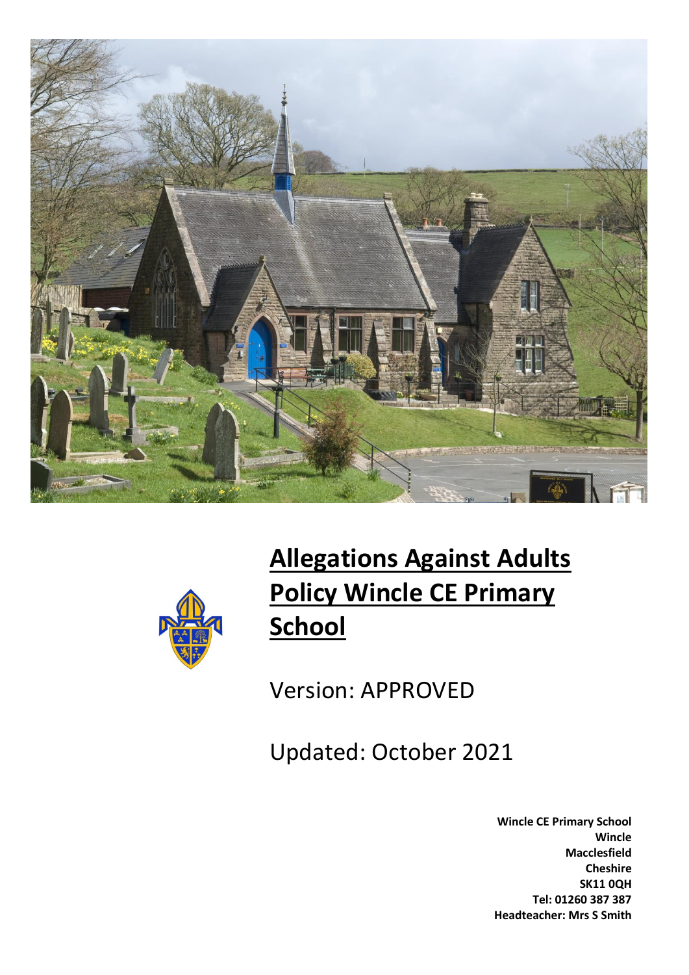



# **Allegations Against Adults Policy Wincle CE Primary School**

Version: APPROVED

Updated: October 2021

**Wincle CE Primary School Wincle Macclesfield Cheshire SK11 0QH Tel: 01260 387 387 Headteacher: Mrs S Smith**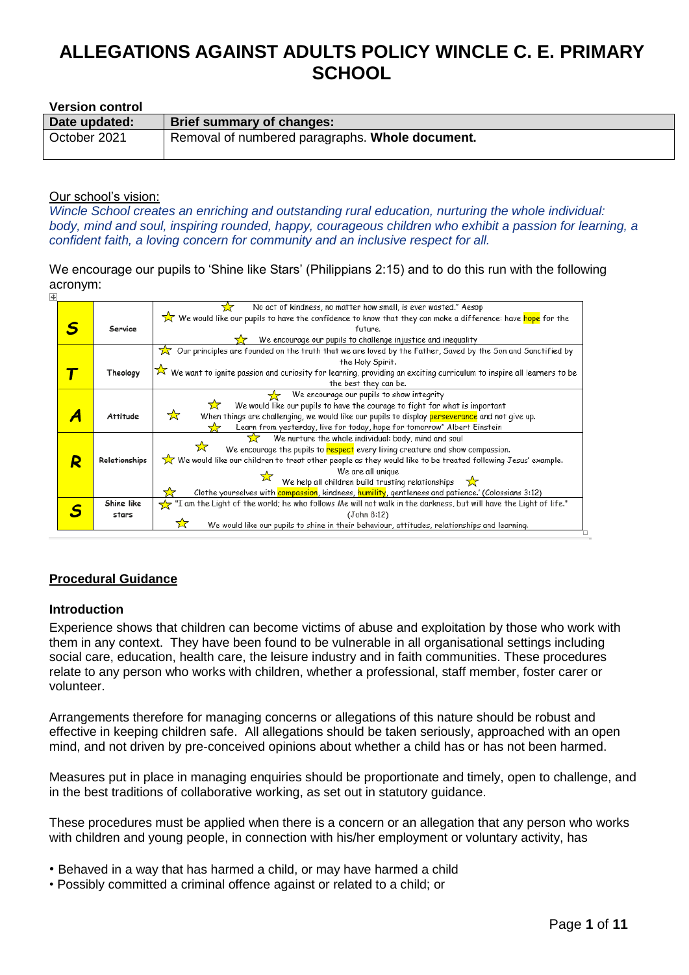#### **Version control**

| Date updated: | Brief summary of changes:                       |
|---------------|-------------------------------------------------|
| October 2021  | Removal of numbered paragraphs. Whole document. |

#### Our school's vision:

*Wincle School creates an enriching and outstanding rural education, nurturing the whole individual: body, mind and soul, inspiring rounded, happy, courageous children who exhibit a passion for learning, a confident faith, a loving concern for community and an inclusive respect for all.*

We encourage our pupils to 'Shine like Stars' (Philippians 2:15) and to do this run with the following acronym:

|   |                 | No act of kindness, no matter how small, is ever wasted." Aesop                                                                     |
|---|-----------------|-------------------------------------------------------------------------------------------------------------------------------------|
|   |                 | We would like our pupils to have the confidence to know that they can make a difference: have <mark>hope</mark> for the             |
|   | Service         | future.                                                                                                                             |
|   |                 | We encourage our pupils to challenge injustice and inequality                                                                       |
|   |                 | $\chi$ Our principles are founded on the truth that we are loved by the Father, Saved by the Son and Sanctified by                  |
|   |                 | the Holy Spirit.                                                                                                                    |
|   | Theology        | $\hat{\times}$ We want to ignite passion and curiosity for learning, providing an exciting curriculum to inspire all learners to be |
|   |                 | the best they can be.                                                                                                               |
|   |                 | We encourage our pupils to show integrity                                                                                           |
|   |                 | We would like our pupils to have the courage to fight for what is important                                                         |
|   | <b>Attitude</b> | ☆<br>When things are challenging, we would like our pupils to display perseverance and not give up.                                 |
|   |                 | Learn from yesterday, live for today, hope for tomorrow" Albert Einstein                                                            |
|   |                 | We nurture the whole individual: body, mind and soul<br>77.                                                                         |
|   |                 | We encourage the pupils to respect every living creature and show compassion.                                                       |
| R | Relationships   | We would like our children to treat other people as they would like to be treated following Jesus' example.                         |
|   |                 | We are all unique                                                                                                                   |
|   |                 | We help all children build trusting relationships $\sum$                                                                            |
|   |                 | Clothe yourselves with compassion, kindness, humility, gentleness and patience.' (Colossians 3:12)                                  |
|   | Shine like      | "I am the Light of the world; he who follows Me will not walk in the darkness, but will have the Light of life."                    |
|   | stars           | (John 8:12)                                                                                                                         |
|   |                 | We would like our pupils to shine in their behaviour, attitudes, relationships and learning.                                        |
|   |                 |                                                                                                                                     |

## **Procedural Guidance**

## **Introduction**

Experience shows that children can become victims of abuse and exploitation by those who work with them in any context. They have been found to be vulnerable in all organisational settings including social care, education, health care, the leisure industry and in faith communities. These procedures relate to any person who works with children, whether a professional, staff member, foster carer or volunteer.

Arrangements therefore for managing concerns or allegations of this nature should be robust and effective in keeping children safe. All allegations should be taken seriously, approached with an open mind, and not driven by pre-conceived opinions about whether a child has or has not been harmed.

Measures put in place in managing enquiries should be proportionate and timely, open to challenge, and in the best traditions of collaborative working, as set out in statutory guidance.

These procedures must be applied when there is a concern or an allegation that any person who works with children and young people, in connection with his/her employment or voluntary activity, has

- Behaved in a way that has harmed a child, or may have harmed a child
- Possibly committed a criminal offence against or related to a child; or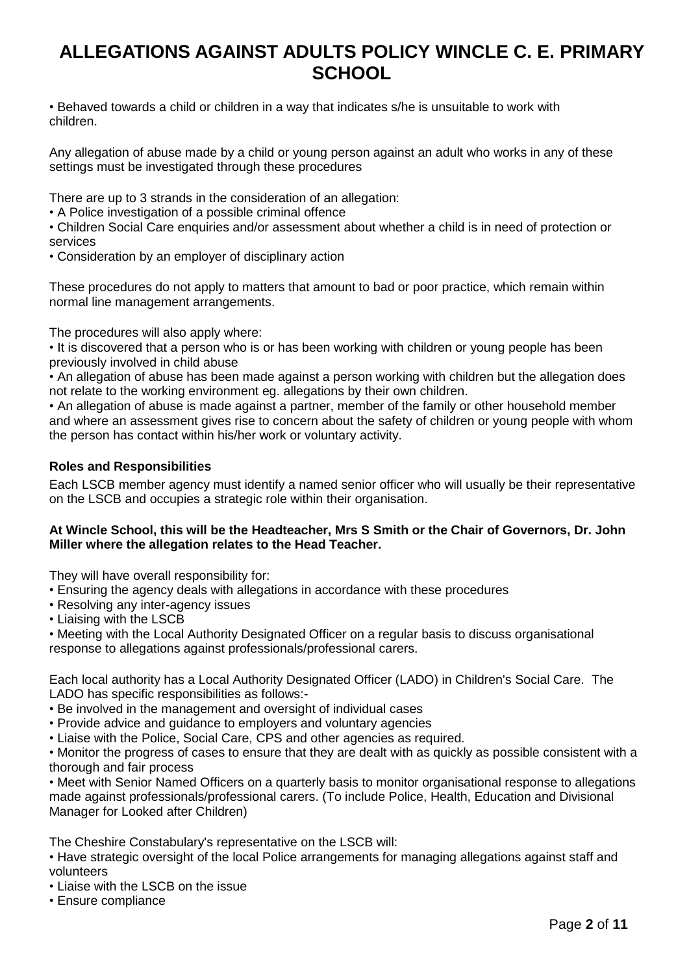• Behaved towards a child or children in a way that indicates s/he is unsuitable to work with children.

Any allegation of abuse made by a child or young person against an adult who works in any of these settings must be investigated through these procedures

There are up to 3 strands in the consideration of an allegation:

• A Police investigation of a possible criminal offence

• Children Social Care enquiries and/or assessment about whether a child is in need of protection or services

• Consideration by an employer of disciplinary action

These procedures do not apply to matters that amount to bad or poor practice, which remain within normal line management arrangements.

The procedures will also apply where:

• It is discovered that a person who is or has been working with children or young people has been previously involved in child abuse

• An allegation of abuse has been made against a person working with children but the allegation does not relate to the working environment eg. allegations by their own children.

• An allegation of abuse is made against a partner, member of the family or other household member and where an assessment gives rise to concern about the safety of children or young people with whom the person has contact within his/her work or voluntary activity.

# **Roles and Responsibilities**

Each LSCB member agency must identify a named senior officer who will usually be their representative on the LSCB and occupies a strategic role within their organisation.

## **At Wincle School, this will be the Headteacher, Mrs S Smith or the Chair of Governors, Dr. John Miller where the allegation relates to the Head Teacher.**

They will have overall responsibility for:

- Ensuring the agency deals with allegations in accordance with these procedures
- Resolving any inter-agency issues
- Liaising with the LSCB

• Meeting with the Local Authority Designated Officer on a regular basis to discuss organisational response to allegations against professionals/professional carers.

Each local authority has a Local Authority Designated Officer (LADO) in Children's Social Care. The LADO has specific responsibilities as follows:-

- Be involved in the management and oversight of individual cases
- Provide advice and guidance to employers and voluntary agencies
- Liaise with the Police, Social Care, CPS and other agencies as required.

• Monitor the progress of cases to ensure that they are dealt with as quickly as possible consistent with a thorough and fair process

• Meet with Senior Named Officers on a quarterly basis to monitor organisational response to allegations made against professionals/professional carers. (To include Police, Health, Education and Divisional Manager for Looked after Children)

The Cheshire Constabulary's representative on the LSCB will:

- Have strategic oversight of the local Police arrangements for managing allegations against staff and volunteers
- Liaise with the LSCB on the issue
- Ensure compliance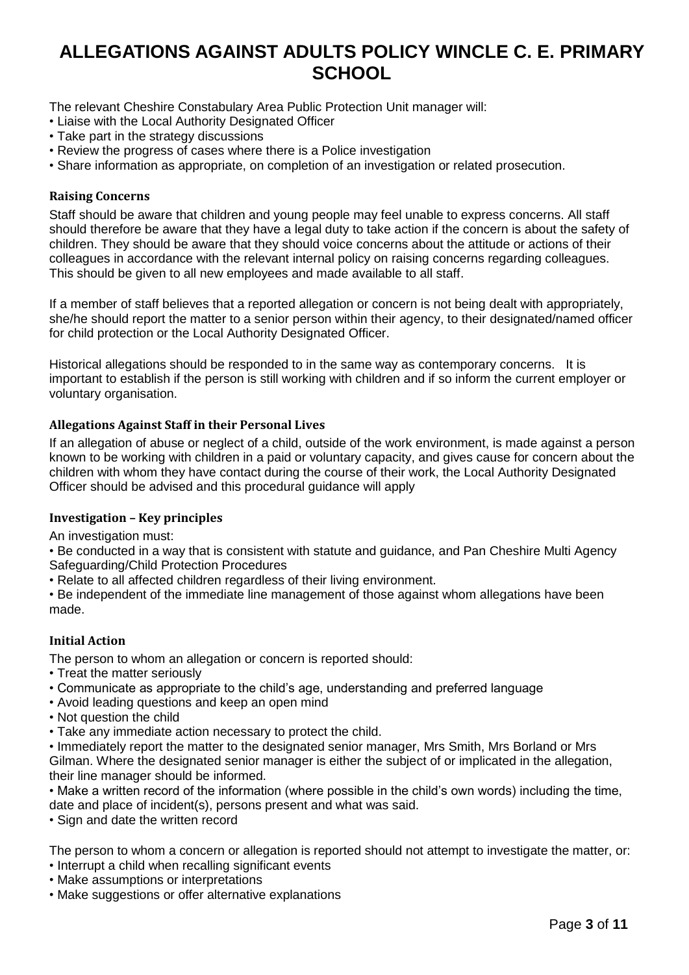The relevant Cheshire Constabulary Area Public Protection Unit manager will:

- Liaise with the Local Authority Designated Officer
- Take part in the strategy discussions
- Review the progress of cases where there is a Police investigation
- Share information as appropriate, on completion of an investigation or related prosecution.

## **Raising Concerns**

Staff should be aware that children and young people may feel unable to express concerns. All staff should therefore be aware that they have a legal duty to take action if the concern is about the safety of children. They should be aware that they should voice concerns about the attitude or actions of their colleagues in accordance with the relevant internal policy on raising concerns regarding colleagues. This should be given to all new employees and made available to all staff.

If a member of staff believes that a reported allegation or concern is not being dealt with appropriately, she/he should report the matter to a senior person within their agency, to their designated/named officer for child protection or the Local Authority Designated Officer.

Historical allegations should be responded to in the same way as contemporary concerns. It is important to establish if the person is still working with children and if so inform the current employer or voluntary organisation.

## **Allegations Against Staff in their Personal Lives**

If an allegation of abuse or neglect of a child, outside of the work environment, is made against a person known to be working with children in a paid or voluntary capacity, and gives cause for concern about the children with whom they have contact during the course of their work, the Local Authority Designated Officer should be advised and this procedural guidance will apply

## **Investigation – Key principles**

An investigation must:

• Be conducted in a way that is consistent with statute and guidance, and Pan Cheshire Multi Agency Safeguarding/Child Protection Procedures

• Relate to all affected children regardless of their living environment.

• Be independent of the immediate line management of those against whom allegations have been made.

## **Initial Action**

The person to whom an allegation or concern is reported should:

- Treat the matter seriously
- Communicate as appropriate to the child's age, understanding and preferred language
- Avoid leading questions and keep an open mind
- Not question the child
- Take any immediate action necessary to protect the child.

• Immediately report the matter to the designated senior manager, Mrs Smith, Mrs Borland or Mrs Gilman. Where the designated senior manager is either the subject of or implicated in the allegation, their line manager should be informed.

• Make a written record of the information (where possible in the child's own words) including the time, date and place of incident(s), persons present and what was said.

• Sign and date the written record

The person to whom a concern or allegation is reported should not attempt to investigate the matter, or: • Interrupt a child when recalling significant events

- Make assumptions or interpretations
- Make suggestions or offer alternative explanations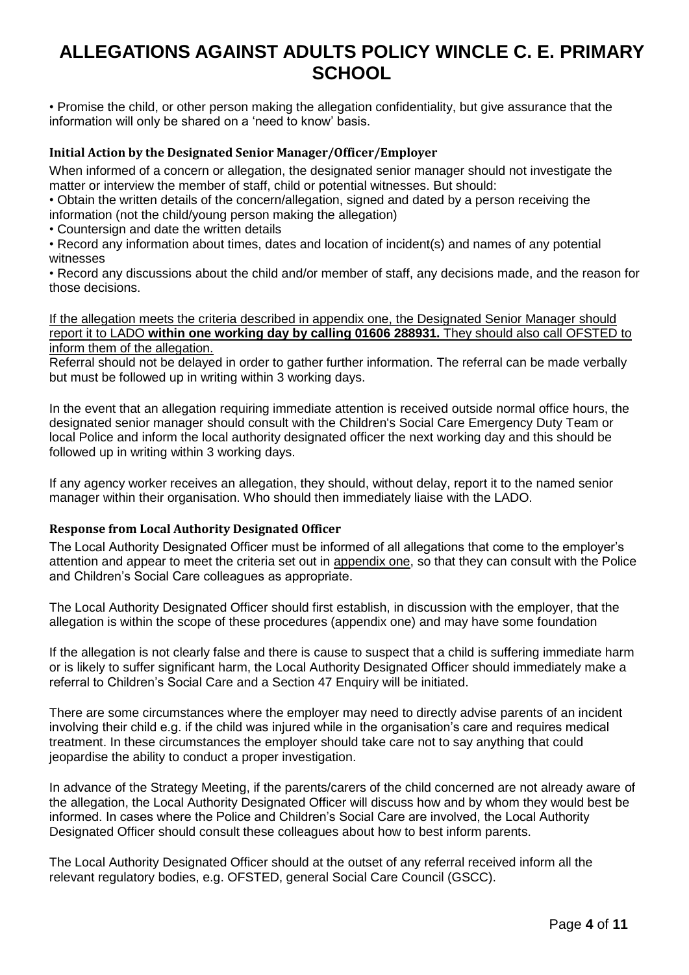• Promise the child, or other person making the allegation confidentiality, but give assurance that the information will only be shared on a 'need to know' basis.

### **Initial Action by the Designated Senior Manager/Officer/Employer**

When informed of a concern or allegation, the designated senior manager should not investigate the matter or interview the member of staff, child or potential witnesses. But should:

• Obtain the written details of the concern/allegation, signed and dated by a person receiving the information (not the child/young person making the allegation)

• Countersign and date the written details

• Record any information about times, dates and location of incident(s) and names of any potential witnesses

• Record any discussions about the child and/or member of staff, any decisions made, and the reason for those decisions.

If the allegation meets the criteria described in appendix one, the Designated Senior Manager should report it to LADO **within one working day by calling 01606 288931.** They should also call OFSTED to inform them of the allegation.

Referral should not be delayed in order to gather further information. The referral can be made verbally but must be followed up in writing within 3 working days.

In the event that an allegation requiring immediate attention is received outside normal office hours, the designated senior manager should consult with the Children's Social Care Emergency Duty Team or local Police and inform the local authority designated officer the next working day and this should be followed up in writing within 3 working days.

If any agency worker receives an allegation, they should, without delay, report it to the named senior manager within their organisation. Who should then immediately liaise with the LADO.

#### **Response from Local Authority Designated Officer**

The Local Authority Designated Officer must be informed of all allegations that come to the employer's attention and appear to meet the criteria set out in appendix one, so that they can consult with the Police and Children's Social Care colleagues as appropriate.

The Local Authority Designated Officer should first establish, in discussion with the employer, that the allegation is within the scope of these procedures (appendix one) and may have some foundation

If the allegation is not clearly false and there is cause to suspect that a child is suffering immediate harm or is likely to suffer significant harm, the Local Authority Designated Officer should immediately make a referral to Children's Social Care and a Section 47 Enquiry will be initiated.

There are some circumstances where the employer may need to directly advise parents of an incident involving their child e.g. if the child was injured while in the organisation's care and requires medical treatment. In these circumstances the employer should take care not to say anything that could jeopardise the ability to conduct a proper investigation.

In advance of the Strategy Meeting, if the parents/carers of the child concerned are not already aware of the allegation, the Local Authority Designated Officer will discuss how and by whom they would best be informed. In cases where the Police and Children's Social Care are involved, the Local Authority Designated Officer should consult these colleagues about how to best inform parents.

The Local Authority Designated Officer should at the outset of any referral received inform all the relevant regulatory bodies, e.g. OFSTED, general Social Care Council (GSCC).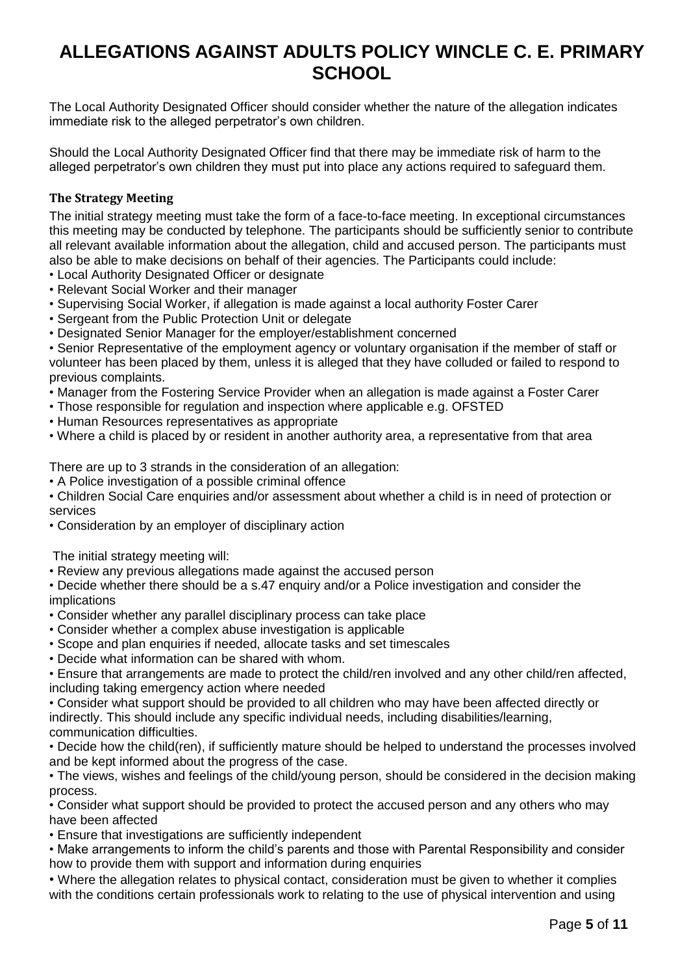The Local Authority Designated Officer should consider whether the nature of the allegation indicates immediate risk to the alleged perpetrator's own children.

Should the Local Authority Designated Officer find that there may be immediate risk of harm to the alleged perpetrator's own children they must put into place any actions required to safeguard them.

## **The Strategy Meeting**

The initial strategy meeting must take the form of a face-to-face meeting. In exceptional circumstances this meeting may be conducted by telephone. The participants should be sufficiently senior to contribute all relevant available information about the allegation, child and accused person. The participants must also be able to make decisions on behalf of their agencies. The Participants could include:

- Local Authority Designated Officer or designate
- Relevant Social Worker and their manager
- Supervising Social Worker, if allegation is made against a local authority Foster Carer
- Sergeant from the Public Protection Unit or delegate
- Designated Senior Manager for the employer/establishment concerned

• Senior Representative of the employment agency or voluntary organisation if the member of staff or volunteer has been placed by them, unless it is alleged that they have colluded or failed to respond to previous complaints.

- Manager from the Fostering Service Provider when an allegation is made against a Foster Carer
- Those responsible for regulation and inspection where applicable e.g. OFSTED
- Human Resources representatives as appropriate
- Where a child is placed by or resident in another authority area, a representative from that area

There are up to 3 strands in the consideration of an allegation:

- A Police investigation of a possible criminal offence
- Children Social Care enquiries and/or assessment about whether a child is in need of protection or services
- Consideration by an employer of disciplinary action

The initial strategy meeting will:

• Review any previous allegations made against the accused person

• Decide whether there should be a s.47 enquiry and/or a Police investigation and consider the implications

- Consider whether any parallel disciplinary process can take place
- Consider whether a complex abuse investigation is applicable
- Scope and plan enquiries if needed, allocate tasks and set timescales
- Decide what information can be shared with whom.

• Ensure that arrangements are made to protect the child/ren involved and any other child/ren affected, including taking emergency action where needed

• Consider what support should be provided to all children who may have been affected directly or indirectly. This should include any specific individual needs, including disabilities/learning, communication difficulties.

• Decide how the child(ren), if sufficiently mature should be helped to understand the processes involved and be kept informed about the progress of the case.

• The views, wishes and feelings of the child/young person, should be considered in the decision making process.

• Consider what support should be provided to protect the accused person and any others who may have been affected

• Ensure that investigations are sufficiently independent

• Make arrangements to inform the child's parents and those with Parental Responsibility and consider how to provide them with support and information during enquiries

• Where the allegation relates to physical contact, consideration must be given to whether it complies with the conditions certain professionals work to relating to the use of physical intervention and using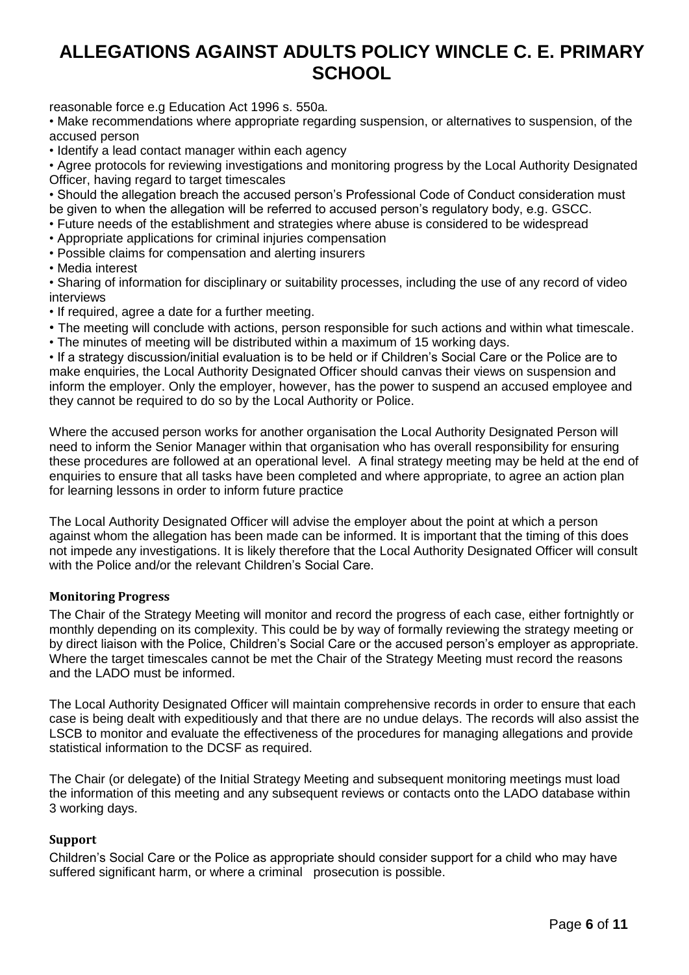reasonable force e.g Education Act 1996 s. 550a.

• Make recommendations where appropriate regarding suspension, or alternatives to suspension, of the accused person

• Identify a lead contact manager within each agency

• Agree protocols for reviewing investigations and monitoring progress by the Local Authority Designated Officer, having regard to target timescales

• Should the allegation breach the accused person's Professional Code of Conduct consideration must be given to when the allegation will be referred to accused person's regulatory body, e.g. GSCC.

• Future needs of the establishment and strategies where abuse is considered to be widespread

- Appropriate applications for criminal injuries compensation
- Possible claims for compensation and alerting insurers

• Media interest

• Sharing of information for disciplinary or suitability processes, including the use of any record of video interviews

- If required, agree a date for a further meeting.
- The meeting will conclude with actions, person responsible for such actions and within what timescale.
- The minutes of meeting will be distributed within a maximum of 15 working days.

• If a strategy discussion/initial evaluation is to be held or if Children's Social Care or the Police are to make enquiries, the Local Authority Designated Officer should canvas their views on suspension and inform the employer. Only the employer, however, has the power to suspend an accused employee and they cannot be required to do so by the Local Authority or Police.

Where the accused person works for another organisation the Local Authority Designated Person will need to inform the Senior Manager within that organisation who has overall responsibility for ensuring these procedures are followed at an operational level. A final strategy meeting may be held at the end of enquiries to ensure that all tasks have been completed and where appropriate, to agree an action plan for learning lessons in order to inform future practice

The Local Authority Designated Officer will advise the employer about the point at which a person against whom the allegation has been made can be informed. It is important that the timing of this does not impede any investigations. It is likely therefore that the Local Authority Designated Officer will consult with the Police and/or the relevant Children's Social Care.

#### **Monitoring Progress**

The Chair of the Strategy Meeting will monitor and record the progress of each case, either fortnightly or monthly depending on its complexity. This could be by way of formally reviewing the strategy meeting or by direct liaison with the Police, Children's Social Care or the accused person's employer as appropriate. Where the target timescales cannot be met the Chair of the Strategy Meeting must record the reasons and the LADO must be informed.

The Local Authority Designated Officer will maintain comprehensive records in order to ensure that each case is being dealt with expeditiously and that there are no undue delays. The records will also assist the LSCB to monitor and evaluate the effectiveness of the procedures for managing allegations and provide statistical information to the DCSF as required.

The Chair (or delegate) of the Initial Strategy Meeting and subsequent monitoring meetings must load the information of this meeting and any subsequent reviews or contacts onto the LADO database within 3 working days.

#### **Support**

Children's Social Care or the Police as appropriate should consider support for a child who may have suffered significant harm, or where a criminal prosecution is possible.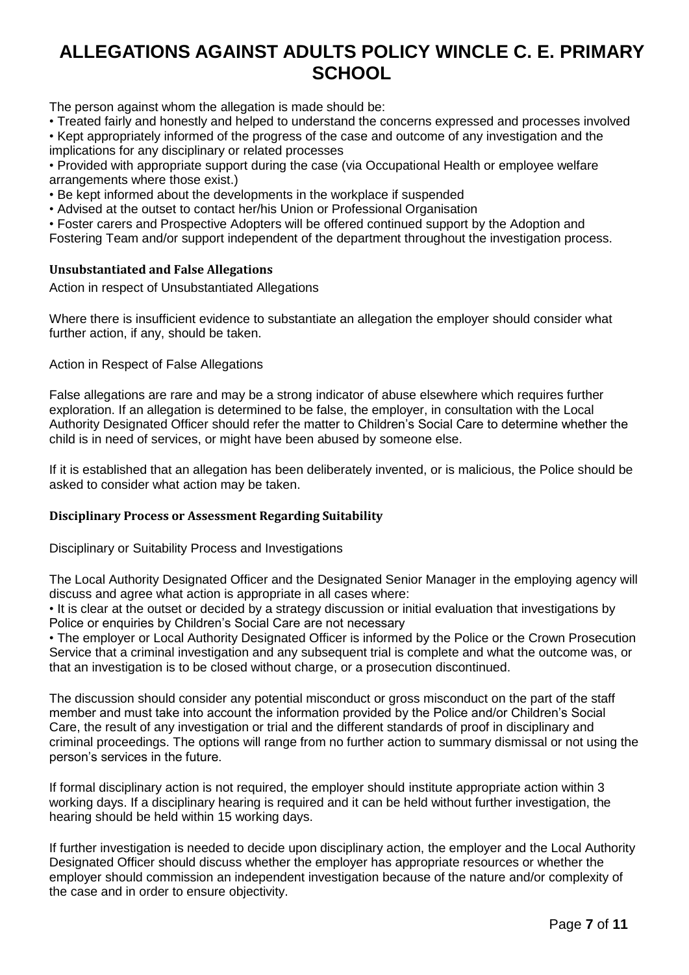The person against whom the allegation is made should be:

• Treated fairly and honestly and helped to understand the concerns expressed and processes involved

• Kept appropriately informed of the progress of the case and outcome of any investigation and the implications for any disciplinary or related processes

• Provided with appropriate support during the case (via Occupational Health or employee welfare arrangements where those exist.)

• Be kept informed about the developments in the workplace if suspended

• Advised at the outset to contact her/his Union or Professional Organisation

• Foster carers and Prospective Adopters will be offered continued support by the Adoption and

Fostering Team and/or support independent of the department throughout the investigation process.

### **Unsubstantiated and False Allegations**

Action in respect of Unsubstantiated Allegations

Where there is insufficient evidence to substantiate an allegation the employer should consider what further action, if any, should be taken.

Action in Respect of False Allegations

False allegations are rare and may be a strong indicator of abuse elsewhere which requires further exploration. If an allegation is determined to be false, the employer, in consultation with the Local Authority Designated Officer should refer the matter to Children's Social Care to determine whether the child is in need of services, or might have been abused by someone else.

If it is established that an allegation has been deliberately invented, or is malicious, the Police should be asked to consider what action may be taken.

#### **Disciplinary Process or Assessment Regarding Suitability**

Disciplinary or Suitability Process and Investigations

The Local Authority Designated Officer and the Designated Senior Manager in the employing agency will discuss and agree what action is appropriate in all cases where:

• It is clear at the outset or decided by a strategy discussion or initial evaluation that investigations by Police or enquiries by Children's Social Care are not necessary

• The employer or Local Authority Designated Officer is informed by the Police or the Crown Prosecution Service that a criminal investigation and any subsequent trial is complete and what the outcome was, or that an investigation is to be closed without charge, or a prosecution discontinued.

The discussion should consider any potential misconduct or gross misconduct on the part of the staff member and must take into account the information provided by the Police and/or Children's Social Care, the result of any investigation or trial and the different standards of proof in disciplinary and criminal proceedings. The options will range from no further action to summary dismissal or not using the person's services in the future.

If formal disciplinary action is not required, the employer should institute appropriate action within 3 working days. If a disciplinary hearing is required and it can be held without further investigation, the hearing should be held within 15 working days.

If further investigation is needed to decide upon disciplinary action, the employer and the Local Authority Designated Officer should discuss whether the employer has appropriate resources or whether the employer should commission an independent investigation because of the nature and/or complexity of the case and in order to ensure objectivity.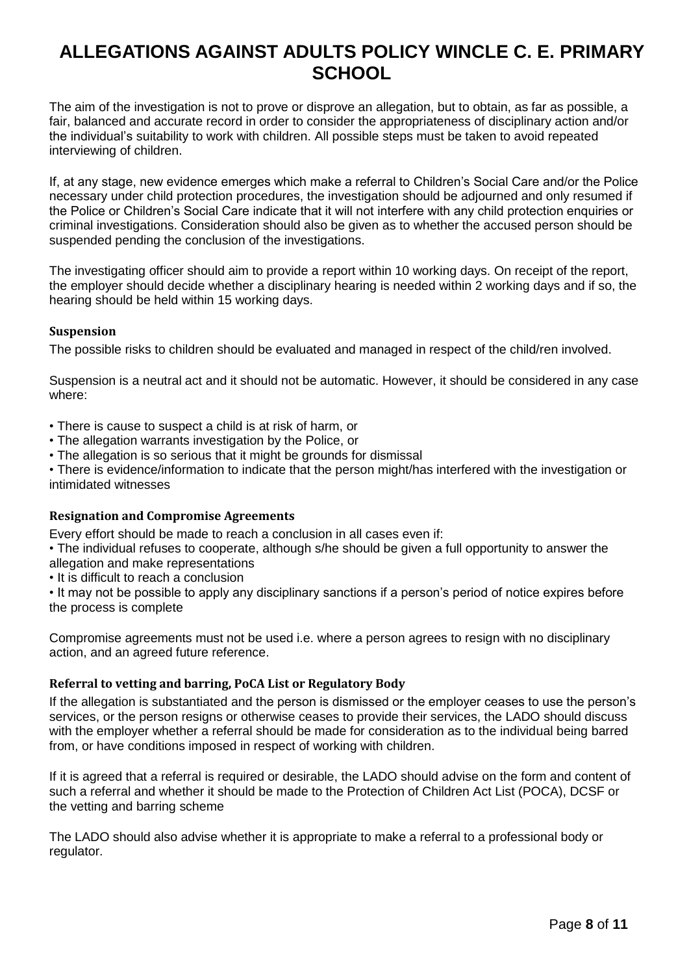The aim of the investigation is not to prove or disprove an allegation, but to obtain, as far as possible, a fair, balanced and accurate record in order to consider the appropriateness of disciplinary action and/or the individual's suitability to work with children. All possible steps must be taken to avoid repeated interviewing of children.

If, at any stage, new evidence emerges which make a referral to Children's Social Care and/or the Police necessary under child protection procedures, the investigation should be adjourned and only resumed if the Police or Children's Social Care indicate that it will not interfere with any child protection enquiries or criminal investigations. Consideration should also be given as to whether the accused person should be suspended pending the conclusion of the investigations.

The investigating officer should aim to provide a report within 10 working days. On receipt of the report, the employer should decide whether a disciplinary hearing is needed within 2 working days and if so, the hearing should be held within 15 working days.

### **Suspension**

The possible risks to children should be evaluated and managed in respect of the child/ren involved.

Suspension is a neutral act and it should not be automatic. However, it should be considered in any case where:

- There is cause to suspect a child is at risk of harm, or
- The allegation warrants investigation by the Police, or
- The allegation is so serious that it might be grounds for dismissal

• There is evidence/information to indicate that the person might/has interfered with the investigation or intimidated witnesses

#### **Resignation and Compromise Agreements**

Every effort should be made to reach a conclusion in all cases even if:

- The individual refuses to cooperate, although s/he should be given a full opportunity to answer the
- allegation and make representations
- It is difficult to reach a conclusion

• It may not be possible to apply any disciplinary sanctions if a person's period of notice expires before the process is complete

Compromise agreements must not be used i.e. where a person agrees to resign with no disciplinary action, and an agreed future reference.

## **Referral to vetting and barring, PoCA List or Regulatory Body**

If the allegation is substantiated and the person is dismissed or the employer ceases to use the person's services, or the person resigns or otherwise ceases to provide their services, the LADO should discuss with the employer whether a referral should be made for consideration as to the individual being barred from, or have conditions imposed in respect of working with children.

If it is agreed that a referral is required or desirable, the LADO should advise on the form and content of such a referral and whether it should be made to the Protection of Children Act List (POCA), DCSF or the vetting and barring scheme

The LADO should also advise whether it is appropriate to make a referral to a professional body or regulator.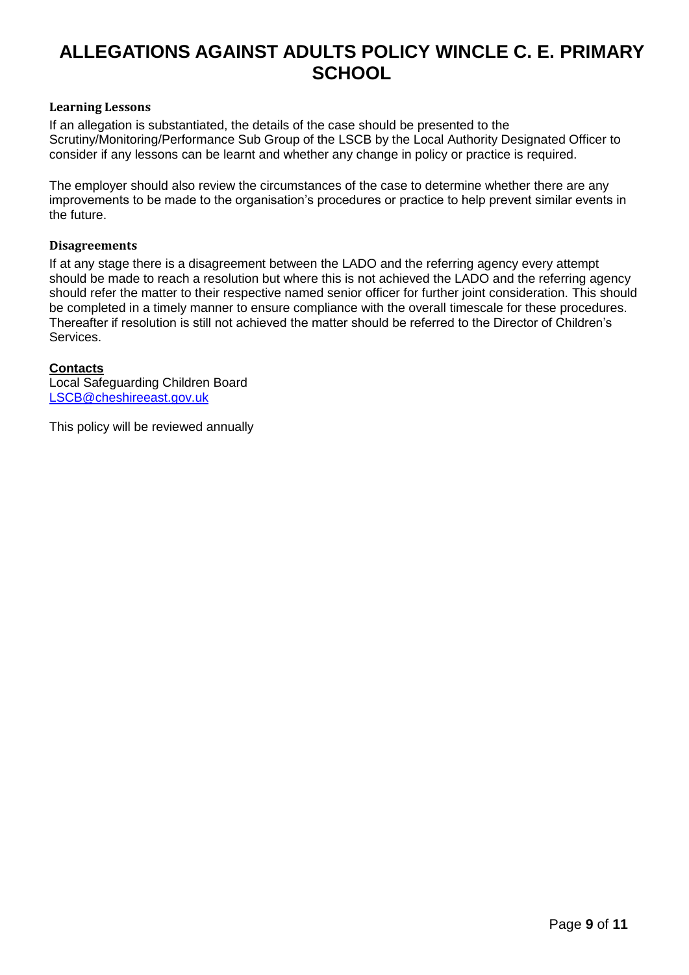### **Learning Lessons**

If an allegation is substantiated, the details of the case should be presented to the Scrutiny/Monitoring/Performance Sub Group of the LSCB by the Local Authority Designated Officer to consider if any lessons can be learnt and whether any change in policy or practice is required.

The employer should also review the circumstances of the case to determine whether there are any improvements to be made to the organisation's procedures or practice to help prevent similar events in the future.

### **Disagreements**

If at any stage there is a disagreement between the LADO and the referring agency every attempt should be made to reach a resolution but where this is not achieved the LADO and the referring agency should refer the matter to their respective named senior officer for further joint consideration. This should be completed in a timely manner to ensure compliance with the overall timescale for these procedures. Thereafter if resolution is still not achieved the matter should be referred to the Director of Children's Services.

### **Contacts**

Local Safeguarding Children Board [LSCB@cheshireeast.gov.uk](mailto:LSCB@cheshireeast.gov.uk)

This policy will be reviewed annually